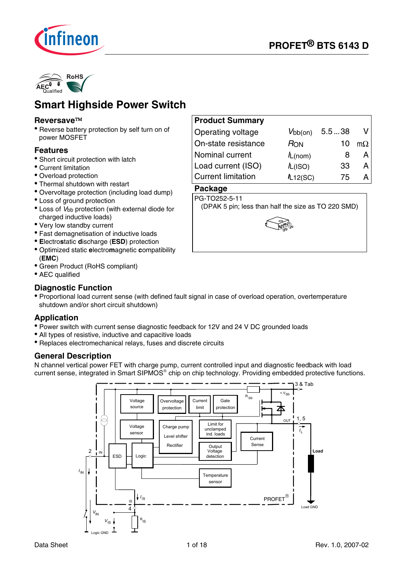



# **Smart Highside Power Switch**

#### **Reversave**

• Reverse battery protection by self turn on of power MOSFET

#### **Features**

- Short circuit protection with latch
- Current limitation
- Overload protection
- Thermal shutdown with restart
- Overvoltage protection (including load dump)
- Loss of ground protection
- Loss of *V*bb protection (with external diode for charged inductive loads)
- Very low standby current
- Fast demagnetisation of inductive loads
- **E**lectro**s**tatic **d**ischarge (**ESD**) protection
- Optimized static **e**lectro**m**agnetic **c**ompatibility (**EMC**)
- Green Product (RoHS compliant)
- AEC qualified

### **Diagnostic Function**

Operating voltage *V*bb(on) 5.5 ...38 V On-state resistance *R*ON 10 mΩ Nominal current *I*L(nom) 8 A Load current (ISO)  $I_L$ (ISO) 33 A Current limitation *I*L12(SC) 75 A **Package** 

#### PG-TO252-5-11

**Product Summary**

(DPAK 5 pin; less than half the size as TO 220 SMD)



• Proportional load current sense (with defined fault signal in case of overload operation, overtemperature shutdown and/or short circuit shutdown)

### **Application**

- Power switch with current sense diagnostic feedback for 12V and 24 V DC grounded loads
- All types of resistive, inductive and capacitive loads
- Replaces electromechanical relays, fuses and discrete circuits

#### **General Description**

N channel vertical power FET with charge pump, current controlled input and diagnostic feedback with load current sense, integrated in Smart SIPMOS<sup>®</sup> chip on chip technology. Providing embedded protective functions.

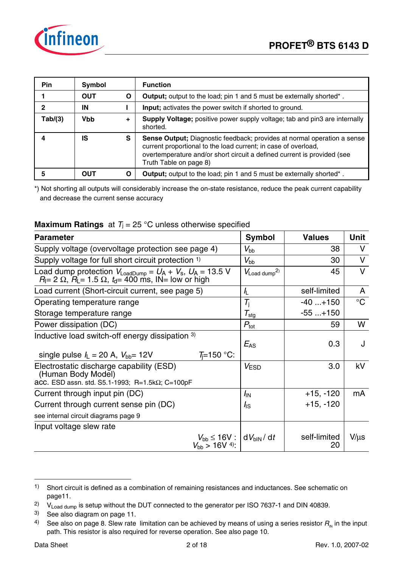

| Pin     | Symbol     |   | <b>Function</b>                                                                                                                                                                                                                                |
|---------|------------|---|------------------------------------------------------------------------------------------------------------------------------------------------------------------------------------------------------------------------------------------------|
|         | <b>OUT</b> | O | <b>Output</b> ; output to the load; pin 1 and 5 must be externally shorted <sup>*</sup> .                                                                                                                                                      |
|         | IN         |   | <b>Input</b> ; activates the power switch if shorted to ground.                                                                                                                                                                                |
| Tab/(3) | <b>Vbb</b> |   | Supply Voltage; positive power supply voltage; tab and pin3 are internally<br>shorted.                                                                                                                                                         |
|         | IS         | S | Sense Output; Diagnostic feedback; provides at normal operation a sense<br>current proportional to the load current; in case of overload,<br>overtemperature and/or short circuit a defined current is provided (see<br>Truth Table on page 8) |
|         | ΟUΤ        |   | <b>Output</b> ; output to the load; pin 1 and 5 must be externally shorted*.                                                                                                                                                                   |

\*) Not shorting all outputs will considerably increase the on-state resistance, reduce the peak current capability and decrease the current sense accuracy

| <b>Parameter</b>                                                                                                                                   | <b>Symbol</b>              | <b>Values</b>      | Unit            |
|----------------------------------------------------------------------------------------------------------------------------------------------------|----------------------------|--------------------|-----------------|
| Supply voltage (overvoltage protection see page 4)                                                                                                 | $V_{\rm bb}$               | 38                 | V               |
| Supply voltage for full short circuit protection 1)                                                                                                | $V_{\rm bb}$               | 30                 | V               |
| Load dump protection $V_{\text{LoadDump}} = U_A + V_s$ , $U_A = 13.5$ V<br>$R_1 = 2 \Omega$ , $R_1 = 1.5 \Omega$ , $t_0 = 400$ ms, IN= low or high | $V_{\text{Load dump}}^2$   | 45                 | $\vee$          |
| Load current (Short-circuit current, see page 5)                                                                                                   | $\mathbf{r}$               | self-limited       | A               |
| Operating temperature range                                                                                                                        | $T_{\rm i}$                | $-40+150$          | $\rm ^{\circ}C$ |
| Storage temperature range                                                                                                                          | $\mathcal{T}_{\text{stg}}$ | $-55+150$          |                 |
| Power dissipation (DC)                                                                                                                             | $P_{\text{tot}}$           | 59                 | W               |
| Inductive load switch-off energy dissipation 3)<br>$T = 150$ °C:<br>single pulse $I_L$ = 20 A, $V_{bb}$ = 12V                                      | $E_{AS}$                   | 0.3                | J               |
| Electrostatic discharge capability (ESD)<br>(Human Body Model)<br>acc. ESD assn. std. S5.1-1993; R=1.5kΩ; C=100pF                                  | V <sub>ESD</sub>           | 3.0                | kV              |
| Current through input pin (DC)                                                                                                                     | $I_{\text{IN}}$            | $+15, -120$        | mA              |
| Current through current sense pin (DC)                                                                                                             | $I_{\rm IS}$               | $+15, -120$        |                 |
| see internal circuit diagrams page 9                                                                                                               |                            |                    |                 |
| Input voltage slew rate                                                                                                                            |                            |                    |                 |
| $V_{bb} \leq 16V :  dV_{bin}/dt$<br>$V_{\text{bh}} > 16V$ 4):                                                                                      |                            | self-limited<br>20 | $V/\mu s$       |

#### **Maximum Ratings** at  $T_j = 25$  °C unless otherwise specified

j

<sup>1)</sup> Short circuit is defined as a combination of remaining resistances and inductances. See schematic on page11.

<sup>&</sup>lt;sup>2)</sup>  $V_{Load \ dump}$  is setup without the DUT connected to the generator per ISO 7637-1 and DIN 40839.

<sup>3)</sup> See also diagram on page 11.

<sup>&</sup>lt;sup>4)</sup> See also on page 8. Slew rate limitation can be achieved by means of using a series resistor  $R_{\text{in}}$  in the input path. This resistor is also required for reverse operation. See also page 10.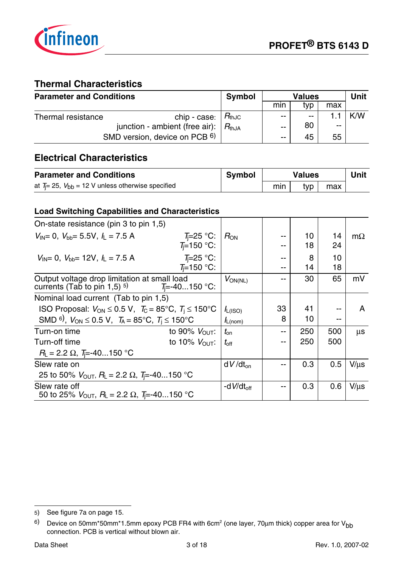

## **Thermal Characteristics**

| <b>Parameter and Conditions</b> |                                | <b>Symbol</b> | <b>Values</b> |     |       | <b>Unit</b> |
|---------------------------------|--------------------------------|---------------|---------------|-----|-------|-------------|
|                                 |                                |               | min           | tvp | max   |             |
| Thermal resistance              | $R_{th,IC}$<br>chip - case:    |               | $- -$         | $-$ |       | K/W         |
|                                 | junction - ambient (free air): | $R_{thJA}$    | $- -$         | 80  | $- -$ |             |
|                                 | SMD version, device on PCB 6)  |               | $- -$         | 45  | 55    |             |

## **Electrical Characteristics**

| <b>Parameter and Conditions</b>                            | Symbol |     | <b>Values</b> |     | <b>Unit</b> |
|------------------------------------------------------------|--------|-----|---------------|-----|-------------|
| at $T_1 = 25$ , $V_{bb} = 12$ V unless otherwise specified |        | min | tvp I         | max |             |

#### **Load Switching Capabilities and Characteristics**

| On-state resistance (pin 3 to pin 1,5)                                                        |                           |                 |    |     |     |           |
|-----------------------------------------------------------------------------------------------|---------------------------|-----------------|----|-----|-----|-----------|
| $V_{\text{IN}} = 0$ , $V_{\text{bb}} = 5.5V$ , $I_{\text{L}} = 7.5$ A                         | $T_{\rm i}$ =25 °C:       | $R_{\rm ON}$    |    | 10  | 14  | $m\Omega$ |
|                                                                                               | $T_{i}=150$ °C:           |                 |    | 18  | 24  |           |
| $V_{\text{IN}} = 0$ , $V_{\text{bh}} = 12V$ , $I_{\text{I}} = 7.5$ A                          | $T_i=25$ °C:              |                 |    | 8   | 10  |           |
|                                                                                               | $T_{i}=150$ °C:           |                 | -- | 14  | 18  |           |
| Output voltage drop limitation at small load                                                  |                           | $V_{ON(NL)}$    |    | 30  | 65  | mV        |
| currents (Tab to pin 1,5) <sup>5)</sup> $T_1 = -40150$ °C:                                    |                           |                 |    |     |     |           |
| Nominal load current (Tab to pin 1,5)                                                         |                           |                 |    |     |     |           |
| ISO Proposal: $V_{ON} \le 0.5$ V, $T_C = 85^{\circ}C$ , $T_i \le 150^{\circ}C$                |                           | $I_{L(ISO)}$    | 33 | 41  |     | A         |
| SMD <sup>6)</sup> , $V_{ON} \le 0.5$ V, $T_A = 85$ °C, $T_i \le 150$ °C                       |                           | $I_{L(nom)}$    | 8  | 10  | --  |           |
| Turn-on time                                                                                  | to 90% $V_{\text{OUT}}$ : | $t_{on}$        |    | 250 | 500 | $\mu$ s   |
| Turn-off time                                                                                 | to 10% $V_{\text{OUT}}$ : | $t_{\rm off}$   | -- | 250 | 500 |           |
| $R_{L}$ = 2.2 $\Omega$ , $T_{i}$ =-40150 °C                                                   |                           |                 |    |     |     |           |
| Slew rate on                                                                                  |                           | $dV/dt_{on}$    | -- | 0.3 | 0.5 | $V/\mu s$ |
| 25 to 50% $V_{\text{OUT}}$ , $R_{\text{L}} = 2.2 \Omega$ , $T_{\text{I}} = -40150 \text{ °C}$ |                           |                 |    |     |     |           |
| Slew rate off                                                                                 |                           | -d $V/dt_{off}$ |    | 0.3 | 0.6 | $V/\mu s$ |
| 50 to 25% $V_{\text{OUT}}$ , $R_{\text{L}} = 2.2 \Omega$ , $T_{\text{I}} = -40150 \text{ °C}$ |                           |                 |    |     |     |           |

j

<sup>5)</sup> See figure 7a on page 15.

<sup>&</sup>lt;sup>6)</sup> Device on 50mm\*50mm\*1.5mm epoxy PCB FR4 with 6cm<sup>2</sup> (one layer, 70μm thick) copper area for V<sub>bb</sub> connection. PCB is vertical without blown air.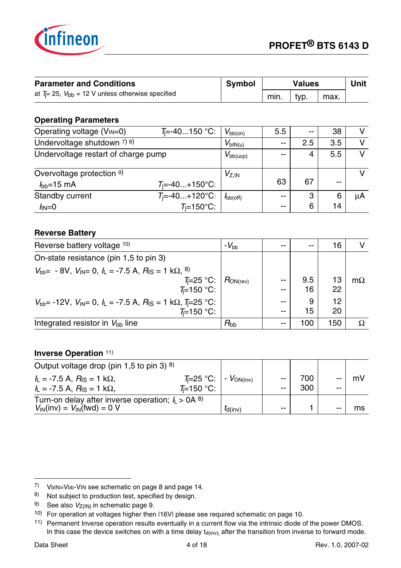

| <b>Parameter and Conditions</b>                          | Symbol |      | <b>Values</b> |      | <b>Unit</b> |
|----------------------------------------------------------|--------|------|---------------|------|-------------|
| at $T = 25$ , $V_{bb} = 12$ V unless otherwise specified |        | min. | tvp.          | max. |             |

#### **Operating Parameters**

| Operating voltage (V <sub>IN</sub> =0) | $T_1 = -40150$ °C:  | $V_{\text{bb}(on)}$  | 5.5   | $-$ | 38    |    |
|----------------------------------------|---------------------|----------------------|-------|-----|-------|----|
| Undervoltage shutdown 7) 8)            |                     | $V_{\text{bIN}(u)}$  | $-$   | 2.5 | 3.5   |    |
| Undervoltage restart of charge pump    |                     | $V_{\text{bb(ucp)}}$ | $- -$ | 4   | 5.5   |    |
| Overvoltage protection 9)              |                     | $V_{Z,IN}$           |       |     |       |    |
| $I_{\text{bb}}$ =15 mA                 | $T_i = -40+150$ °C: |                      | 63    | 67  | $- -$ |    |
| Standby current                        | $T_i = -40+120$ °C: | $I_{\text{bb(off)}}$ | $- -$ | 3   | 6     | μA |
| $I_{\text{IN}}=0$                      | $T_i = 150$ °C:     |                      | $- -$ | 6   | 14    |    |

### **Reverse Battery**

| Reverse battery voltage 10)                                                                                                                         | $-V_{\rm bb}$     | $- -$          | $-$       | 16       |           |
|-----------------------------------------------------------------------------------------------------------------------------------------------------|-------------------|----------------|-----------|----------|-----------|
| On-state resistance (pin 1,5 to pin 3)                                                                                                              |                   |                |           |          |           |
| $V_{\text{bb}}$ - 8V, $V_{\text{IN}}$ = 0, $I_{\text{L}}$ = -7.5 A, $R_{\text{IS}}$ = 1 k $\Omega$ , <sup>8)</sup><br>$T = 25$ °C:<br>$T = 150$ °C: | $R_{\rm ON(rev)}$ | $- -$<br>$- -$ | 9.5<br>16 | 13<br>22 | $m\Omega$ |
| $V_{\text{bb}}$ = -12V, $V_{\text{IN}}$ = 0, $I_{\text{L}}$ = -7.5 A, $R_{\text{IS}}$ = 1 k $\Omega$ , $T_{\text{I}}$ = 25 °C:<br>$T = 150$ °C:     |                   | $- -$<br>$- -$ | 9<br>15   | 12<br>20 |           |
| Integrated resistor in $V_{bb}$ line                                                                                                                | $R_{\rm bb}$      | --             | 100       | 150      |           |

#### **Inverse Operation** 11)

| Output voltage drop (pin 1,5 to pin 3) $8$ )                                                                                    |                                |              |       |     |       |    |
|---------------------------------------------------------------------------------------------------------------------------------|--------------------------------|--------------|-------|-----|-------|----|
| $I_{\rm L}$ = -7.5 A, $R_{\rm IS}$ = 1 k $\Omega$ ,                                                                             | $T_i=25$ °C:   - $V_{ON(inv)}$ |              | $- -$ | 700 |       | mV |
| $I_L$ = -7.5 A, $R_{\rm IS}$ = 1 k $\Omega$ ,                                                                                   | $T = 150$ °C:                  |              | $- -$ | 300 | $- -$ |    |
| Turn-on delay after inverse operation; $I_{\text{L}} > 0A^{8}$<br>$V_{\text{IN}}(\text{inv}) = V_{\text{IN}}(\text{fwd}) = 0$ V |                                | $I_{d(inv)}$ | $- -$ |     | $- -$ | ms |

-

<sup>7)</sup> VbIN=Vbb-VIN see schematic on page 8 and page 14.

<sup>8)</sup> Not subject to production test, specified by design.

<sup>9)</sup> See also  $V_{Z(1N)}$  in schematic page 9.

<sup>10)</sup> For operation at voltages higher then |16V| please see required schematic on page 10.

<sup>11)</sup> Permanent Inverse operation results eventually in a current flow via the intrinsic diode of the power DMOS. In this case the device switches on with a time delay  $t_{d(inv)_i}$  after the transition from inverse to forward mode.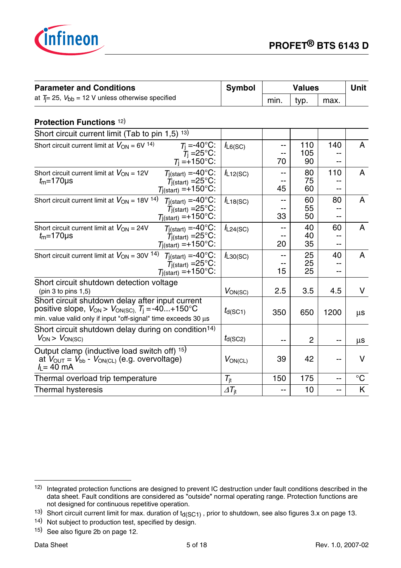

| <b>Parameter and Conditions</b>                                                                                                                                                        | <b>Symbol</b>          | <b>Values</b> |                  |                 | <b>Unit</b>  |
|----------------------------------------------------------------------------------------------------------------------------------------------------------------------------------------|------------------------|---------------|------------------|-----------------|--------------|
| at $T_1 = 25$ , $V_{bb} = 12$ V unless otherwise specified                                                                                                                             |                        | min.          | typ.             | max.            |              |
| <b>Protection Functions 12)</b>                                                                                                                                                        |                        |               |                  |                 |              |
| Short circuit current limit (Tab to pin 1,5) 13)                                                                                                                                       |                        |               |                  |                 |              |
| Short circuit current limit at $V_{ON} = 6V^{14}$<br>$T_1 = -40$ °C:<br>$T_1 = 25$ °C:<br>$T_1 = +150$ °C:                                                                             | $I_{LG(C)}$            | 70            | 110<br>105<br>90 | 140             | $\mathsf{A}$ |
| $T_j$ (start) =-40°C:<br>Short circuit current limit at $V_{ON}$ = 12V<br>$T_{j(stat)} = 25^{\circ}C$ :<br>$t_{\rm m}$ =170 $\mu$ s<br>$T_{j(stat)} = +150^{\circ}C$ :                 | $I_{L12(SC)}$          | 45            | 80<br>75<br>60   | 110<br>--       | $\mathsf{A}$ |
| Short circuit current limit at $V_{ON}$ = 18V <sup>14</sup> )<br>$T_j(\text{start}) = -40^\circ \text{C}$ :<br>$T_{i(stat)} = 25^{\circ}C$ :<br>$T_{j(stat)} = +150^{\circ}C$ :        | $I_{L18(SC)}$          | --<br>33      | 60<br>55<br>50   | 80<br>--<br>--  | A            |
| Short circuit current limit at $V_{ON} = 24V$<br>$T_{j(stat)} = -40^{\circ}C$ :<br>$t_{\rm m}$ =170 $\mu$ s<br>$T_{\text{j}(\text{start})}$ =25°C:<br>$T_{j(stat)} = +150^{\circ}C$ :  | $I_{L24(SC)}$          | 20            | 40<br>40<br>35   | 60<br>--        | $\mathsf{A}$ |
| Short circuit current limit at $V_{ON} = 30V^{14}$<br>$T_{j(stat)} = -40^{\circ}C$ :<br>$T_{j(stat)} = 25^{\circ}C$ :<br>$T_{j(stat)} = +150^{\circ}C$ :                               | $I_{L30(SC)}$          | --<br>15      | 25<br>25<br>25   | 40<br>--<br>$-$ | $\mathsf{A}$ |
| Short circuit shutdown detection voltage<br>(pin 3 to pins $1,5$ )                                                                                                                     | $V_{ON(SC)}$           | 2.5           | 3.5              | 4.5             | V            |
| Short circuit shutdown delay after input current<br>positive slope, $V_{ON} > V_{ON(SC)}$ , $T_i = -40+150^{\circ}C$<br>min. value valid only if input "off-signal" time exceeds 30 µs | $t_{d(SC1)}$           | 350           | 650              | 1200            | μs           |
| Short circuit shutdown delay during on condition <sup>14)</sup><br>$V_{ON}$ > $V_{ON(SC)}$                                                                                             | $t_{d(SC2)}$           | --            | $\overline{2}$   | --              | μs           |
| Output clamp (inductive load switch off) 15)<br>at $V_{\text{OUT}} = V_{\text{bb}}$ - $V_{\text{ON(CL)}}$ (e.g. overvoltage)<br>$l_1 = 40$ mA                                          | $V_{ON(CL)}$           | 39            | 42               | --              | V            |
| Thermal overload trip temperature                                                                                                                                                      | $T_{\rm{it}}$          | 150           | 175              | --              | $^{\circ}$ C |
| <b>Thermal hysteresis</b>                                                                                                                                                              | $\varDelta T_{\sf it}$ | --            | 10               | --              | K            |

-

<sup>&</sup>lt;sup>12)</sup> Integrated protection functions are designed to prevent IC destruction under fault conditions described in the data sheet. Fault conditions are considered as "outside" normal operating range. Protection functions are not designed for continuous repetitive operation.

<sup>13)</sup> Short circuit current limit for max. duration of  $t<sub>d</sub>(SC1)$ , prior to shutdown, see also figures 3.x on page 13.

<sup>14)</sup> Not subject to production test, specified by design.

<sup>15)</sup> See also figure 2b on page 12.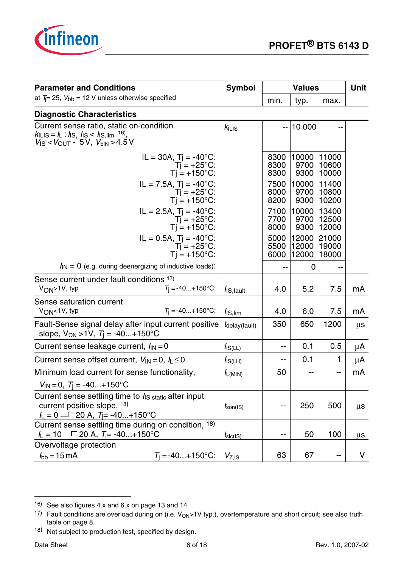

| <b>Parameter and Conditions</b>                                                                                                                                                                         | <b>Symbol</b>                                |                      | <b>Values</b>           |                         |    |
|---------------------------------------------------------------------------------------------------------------------------------------------------------------------------------------------------------|----------------------------------------------|----------------------|-------------------------|-------------------------|----|
| at $T_1 = 25$ , $V_{bb} = 12$ V unless otherwise specified                                                                                                                                              |                                              | min.                 | typ.                    | max.                    |    |
| <b>Diagnostic Characteristics</b>                                                                                                                                                                       |                                              |                      |                         |                         |    |
| Current sense ratio, static on-condition<br>$k_{\text{ILIS}} = l_{\text{L}} : l_{\text{IS}}, l_{\text{IS}} < l_{\text{IS,lim}}$ 16),<br>$V_{\text{IS}} < V_{\text{OUT}} - 5V$ , $V_{\text{bin}} > 4.5V$ | $k_{\text{ILIS}}$                            |                      | 10 000                  | --                      |    |
| $IL = 30A$ , $Ti = -40^{\circ}C$ :<br>$T$ j = +25°C:<br>$Ti = +150^{\circ}C$ :                                                                                                                          |                                              | 8300<br>8300<br>8300 | 10000<br>9700<br>9300   | 11000<br>10600<br>10000 |    |
| $IL = 7.5A, Tj = -40°C:$<br>$Ti = +25^{\circ}C$ :<br>$Ti = +150^{\circ}C$ :                                                                                                                             |                                              | 7500<br>8000<br>8200 | 10000<br>9700<br>9300   | 11400<br>10800<br>10200 |    |
| $IL = 2.5A, Tj = -40°C:$<br>$T$ j = +25°C:<br>$Ti = +150^{\circ}C$ :                                                                                                                                    |                                              | 7100<br>7700<br>8000 | 10000<br>9700<br>9300   | 13400<br>12500<br>12000 |    |
| $IL = 0.5A$ , Tj = -40 $^{\circ}$ C:<br>$Tj = +25^{\circ}C$ :<br>$Ti = +150^{\circ}$ C:                                                                                                                 |                                              | 5000<br>5500<br>6000 | 12000<br>12000<br>12000 | 21000<br>19000<br>18000 |    |
| $I_{\text{IN}} = 0$ (e.g. during deenergizing of inductive loads):                                                                                                                                      |                                              |                      | 0                       |                         |    |
| Sense current under fault conditions 17)<br>$T_1 = -40+150^{\circ}C$ :<br>$V_{ON}$ >1V, typ                                                                                                             | IS, fault                                    | 4.0                  | 5.2                     | 7.5                     | mA |
| Sense saturation current<br>$T_1 = -40+150$ °C:<br>$V_{ON}$ <1V, typ                                                                                                                                    | $I_{\text{IS,lim}}$                          | 4.0                  | 6.0                     | 7.5                     | mA |
| Fault-Sense signal delay after input current positive<br>slope, $V_{ON} > 1V$ , $T_1 = -40+150^{\circ}C$                                                                                                | $t_{\text{delay}(\text{fault})}$             | 350                  | 650                     | 1200                    | μs |
| Current sense leakage current, $I_{IN} = 0$                                                                                                                                                             | $I_{\text{IS(LL)}}$                          | --                   | 0.1                     | 0.5                     | μA |
| Current sense offset current, $V_{\text{IN}} = 0$ , $I_L \le 0$                                                                                                                                         | $I_{\text{IS(LH)}}$                          | --                   | 0.1                     | 1                       | μA |
| Minimum load current for sense functionality,<br>$V_{1N} = 0$ , $T_1 = -40+150$ °C                                                                                                                      | $I_{L(MIN)}$                                 | 50                   |                         | --                      | mA |
| Current sense settling time to <i>l</i> <sub>IS static</sub> after input<br>current positive slope, 18)<br>$I_{L} = 0$ T 20 A, $T_{i} = -40+150^{\circ}C$                                               | $t_{\text{son(IS)}}$                         | --                   | 250                     | 500                     | μs |
| Current sense settling time during on condition, 18)<br>$I_L = 10$ T 20 A, $T_{\parallel} = -40+150^{\circ}$ C                                                                                          | $t_{\text{s} \text{l} \text{c} \text{(IS)}}$ | --                   | 50                      | 100                     | μs |
| Overvoltage protection<br>$T_i = -40+150$ °C:<br>$I_{\text{bb}}$ = 15 mA                                                                                                                                | $V_{Z,IS}$                                   | 63                   | 67                      | --                      | V  |

j

<sup>16)</sup> See also figures 4.x and 6.x on page 13 and 14.

<sup>17)</sup> Fault conditions are overload during on (i.e.  $V_{ON}>1V$  typ.), overtemperature and short circuit; see also truth table on page 8.

<sup>18)</sup> Not subject to production test, specified by design.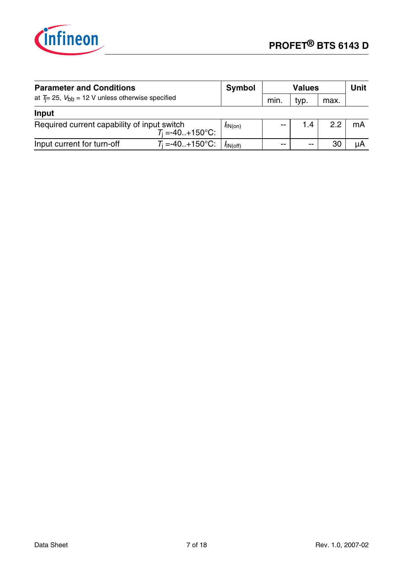

| <b>Parameter and Conditions</b>                                    |                            | Symbol                      |       | <b>Unit</b> |      |    |
|--------------------------------------------------------------------|----------------------------|-----------------------------|-------|-------------|------|----|
| at $T_1 = 25$ , $V_{bb} = 12$ V unless otherwise specified         |                            |                             | min.  | typ.        | max. |    |
| <b>Input</b>                                                       |                            |                             |       |             |      |    |
| Required current capability of input switch<br>$T_1 = -40+150$ °C: |                            | I <sub>IN(on)</sub>         | $-$   | 1.4         | 2.2  | mA |
| Input current for turn-off                                         | $T_1 = -40+150^{\circ}$ C: | $I_{\text{IN}(\text{off})}$ | $- -$ | $- -$       | 30   | uA |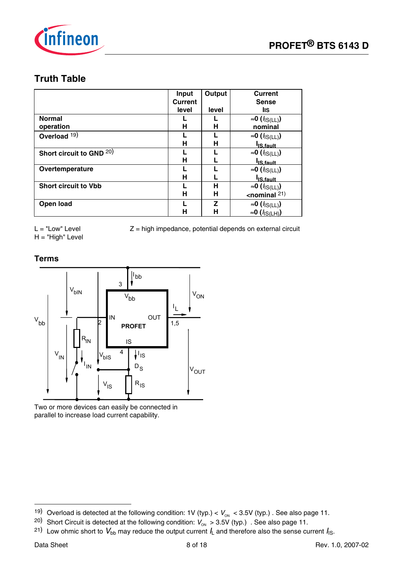

## **Truth Table**

|                             | Input   | Output | <b>Current</b>                       |
|-----------------------------|---------|--------|--------------------------------------|
|                             | Current |        | <b>Sense</b>                         |
|                             | level   | level  | lıs.                                 |
| <b>Normal</b>               |         |        | ≈0 ( $l_{\text{IS(LL)}}$ )           |
| operation                   | н       | н      | nominal                              |
| Overload <sup>19)</sup>     |         |        | $\approx 0$ ( $l_{\text{IS(LL)}}$ )  |
|                             | н       | н      | I <sub>IS.fault</sub>                |
| Short circuit to GND 20)    |         |        | $\approx 0$ (/ $_{\text{IS (LL)}}$ ) |
|                             | Н       |        | I <sub>IS.fault</sub>                |
| Overtemperature             |         |        | $\approx 0$ ( $l_{\text{IS(LL)}}$ )  |
|                             | Н       |        | I <sub>IS fault</sub>                |
| <b>Short circuit to Vbb</b> |         | н      | ≈0 ( $l_{\text{IS(LL)}}$ )           |
|                             | Н       | н      | $\le$ nominal $^{21)}$               |
| Open load                   |         | Z      | ≈0 ( $l_{\text{IS(LL)}}$ )           |
|                             | н       | н      | ≈0 ( <i>l</i> <sub>IS(LH)</sub> )    |

 $L = "Low" Level$ <br> $Z = high impedance, potential depends on external circuit$ 

H = "High" Level





Two or more devices can easily be connected in parallel to increase load current capability.

-

<sup>19)</sup> Overload is detected at the following condition:  $1V$  (typ.)  $V_{ON}$  < 3.5V (typ.). See also page 11.

<sup>&</sup>lt;sup>20)</sup> Short Circuit is detected at the following condition:  $V_{\text{ON}} > 3.5V$  (typ.) . See also page 11.

<sup>&</sup>lt;sup>21)</sup> Low ohmic short to  $V_{bb}$  may reduce the output current  $I_L$  and therefore also the sense current  $I_{\text{IS}}$ .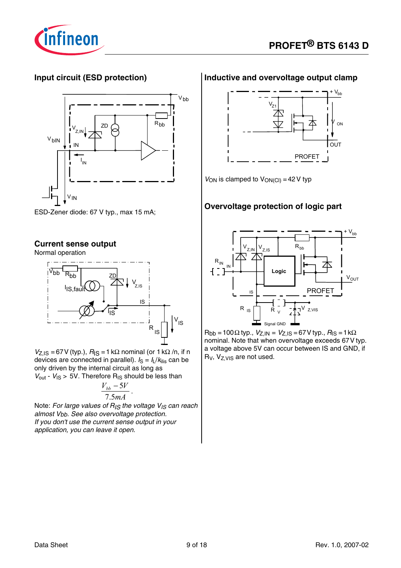

### **Input circuit (ESD protection)**





#### **Current sense output**

Normal operation



*V*<sub>Z</sub>,  $S = 67V$  (typ.),  $R_{IS} = 1 kΩ$  nominal (or  $1 kΩ/n$ , if n devices are connected in parallel).  $I_S = I_L/K_{\text{llis}}$  can be only driven by the internal circuit as long as  $V_{\text{out}}$  -  $V_{\text{IS}}$  > 5V. Therefore R<sub>IS</sub> should be less than

$$
\frac{V_{bb} - 5V}{7.5mA}.
$$

Note: *For large values of RIS the voltage VIS can reach almost Vbb. See also overvoltage protection. If you don't use the current sense output in your application, you can leave it open.* 

#### **Inductive and overvoltage output clamp**



 $V_{ON}$  is clamped to  $V_{ON(Cl)} = 42 V$  typ

#### **Overvoltage protection of logic part**



 $R_{bb} = 100 \Omega$  typ.,  $V_{Z,IN} = V_{Z,IS} = 67$  V typ.,  $R_{IS} = 1 \text{ k}\Omega$ nominal. Note that when overvoltage exceeds 67V typ. a voltage above 5V can occur between IS and GND, if  $R_V$ ,  $V_{Z,VIS}$  are not used.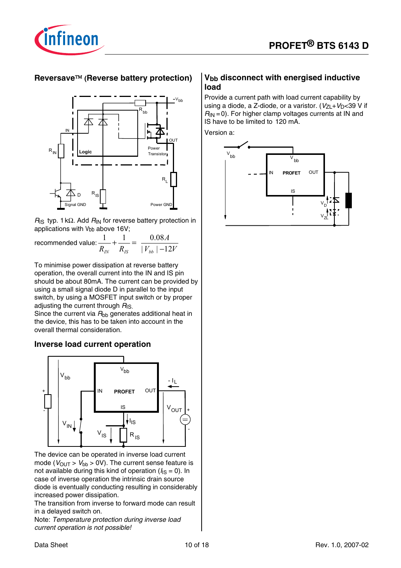

#### **Reversave (Reverse battery protection)**



*R*<sub>IS</sub> typ. 1 kΩ. Add *R*<sub>IN</sub> for reverse battery protection in applications with Vbb above 16V;

recommended value:  $\displaystyle{\frac{1}{R_{_{IN}}} \! + \! \frac{1}{R_{_{IS}}} } =$  $V_{bb}$  |  $-12V$ *A*  $|V_{bb}$  |  $-12$ 0.08  $\frac{1}{-12V}$ 

To minimise power dissipation at reverse battery operation, the overall current into the IN and IS pin should be about 80mA. The current can be provided by using a small signal diode D in parallel to the input switch, by using a MOSFET input switch or by proper adjusting the current through *R*IS.

Since the current via  $R_{bb}$  generates additional heat in the device, this has to be taken into account in the overall thermal consideration.

#### **Inverse load current operation**



The device can be operated in inverse load current mode ( $V_{\text{OUT}} > V_{\text{bb}} >$  0V). The current sense feature is not available during this kind of operation  $(I_{\text{IS}} = 0)$ . In case of inverse operation the intrinsic drain source diode is eventually conducting resulting in considerably increased power dissipation.

The transition from inverse to forward mode can result in a delayed switch on.

Note: *Temperature protection during inverse load current operation is not possible!* 

#### **Vbb disconnect with energised inductive load**

Provide a current path with load current capability by using a diode, a Z-diode, or a varistor.  $(V_{71}+V_{D} < 39$  V if  $R_{IN} = 0$ ). For higher clamp voltages currents at IN and IS have to be limited to 120 mA.

Version a:

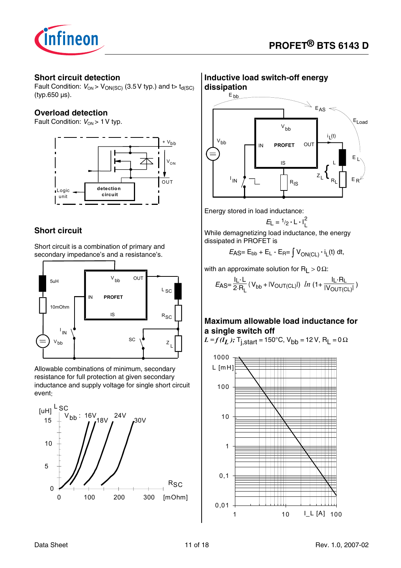

#### **Short circuit detection**

Fault Condition:  $V_{ON} > V_{ON(SC)}$  (3.5 V typ.) and t  $t_{d(SC)}$ (typ.650 µs).

#### **Overload detection**

Fault Condition:  $V_{ON}$  > 1 V typ.



## **Short circuit**

Short circuit is a combination of primary and secondary impedance's and a resistance's.



Allowable combinations of minimum, secondary resistance for full protection at given secondary inductance and supply voltage for single short circuit event:



#### **Inductive load switch-off energy dissipation**



Energy stored in load inductance:

$$
E_L = \frac{1}{2} \cdot L \cdot I_L^2
$$

While demagnetizing load inductance, the energy dissipated in PROFET is

$$
E_{\text{AS}} = E_{\text{bb}} + E_{\text{L}} - E_{\text{R}} = \int V_{\text{ON}(CL)} \cdot i_{\text{L}}(t) \, dt,
$$

with an approximate solution for R<sub>L</sub> > 0 $\Omega$ :

$$
E_{\text{AS}} \text{=}\frac{\text{l}_\text{L} \cdot \text{L}}{\text{2} \cdot \text{R}_\text{L}} \left(\text{V}_{\text{bb}} + \text{IV}_{\text{OUT}(\text{CL})l}\right) \ l n \left(1 + \frac{\text{l}_\text{L} \cdot \text{R}_\text{L}}{\text{IV}_{\text{OUT}(\text{CL})l}}\right)
$$

### **Maximum allowable load inductance for a single switch off**

$$
L = f(I_L)
$$
; T<sub>j,start</sub> = 150°C, V<sub>bb</sub> = 12 V, R<sub>L</sub> = 0 $\Omega$ 

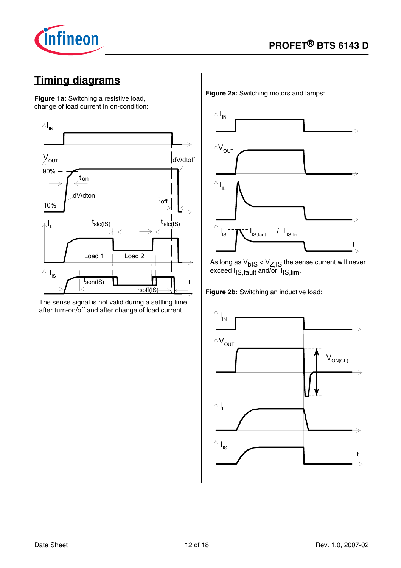

# **Timing diagrams**

**Figure 1a:** Switching a resistive load, change of load current in on-condition:



The sense signal is not valid during a settling time after turn-on/off and after change of load current.

**Figure 2a:** Switching motors and lamps:



As long as  $\mathsf{V}_{\mathsf{DIS}} < \mathsf{V}_{\mathsf{Z},\mathsf{IS}}$  the sense current will never exceed I<sub>IS,fault</sub> and/or I<sub>IS,lim</sub>.

**Figure 2b:** Switching an inductive load:

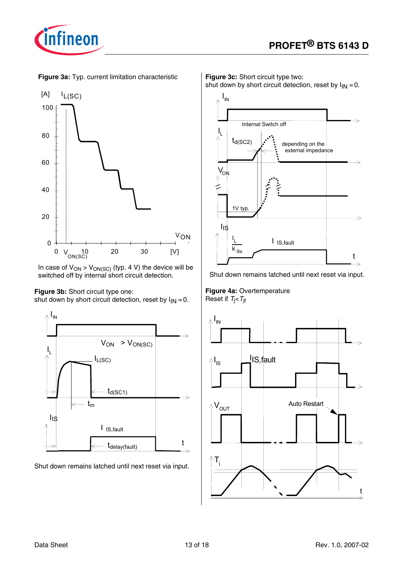

**Figure 3a:** Typ. current limitation characteristic



In case of  $V_{ON} > V_{ON(SC)}$  (typ. 4 V) the device will be switched off by internal short circuit detection.

**Figure 3b:** Short circuit type one: shut down by short circuit detection, reset by  $I_{IN} = 0$ .



Shut down remains latched until next reset via input.

**Figure 3c:** Short circuit type two: shut down by short circuit detection, reset by  $I_{IN} = 0$ .



Shut down remains latched until next reset via input.

**Figure 4a:** Overtemperature Reset if *T*j<*T*jt

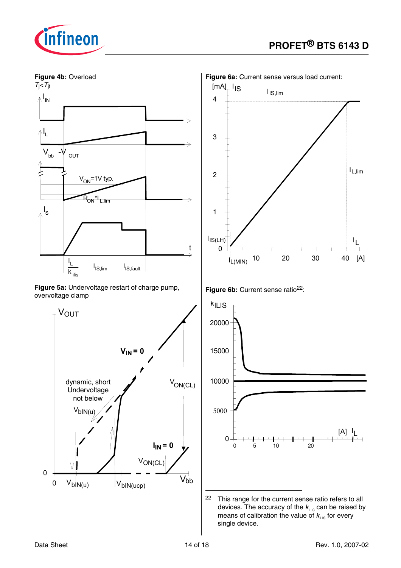

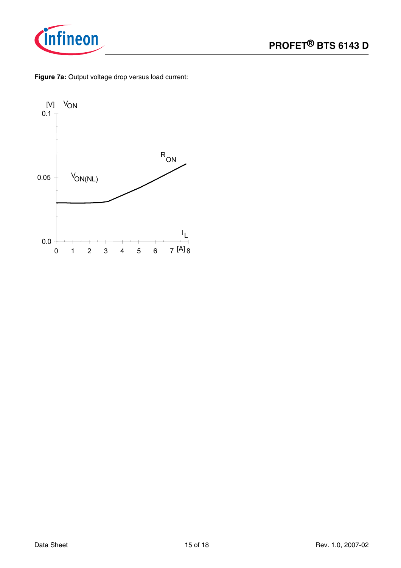

**Figure 7a:** Output voltage drop versus load current:

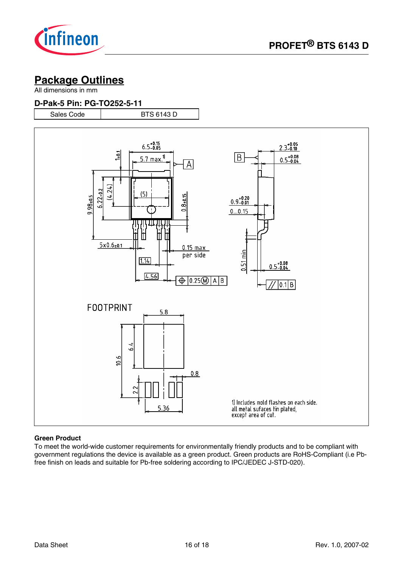

# **Package Outlines**

All dimensions in mm

#### **D-Pak-5 Pin: PG-TO252-5-11**



#### **Green Product**

To meet the world-wide customer requirements for environmentally friendly products and to be compliant with government regulations the device is available as a green product. Green products are RoHS-Compliant (i.e Pbfree finish on leads and suitable for Pb-free soldering according to IPC/JEDEC J-STD-020).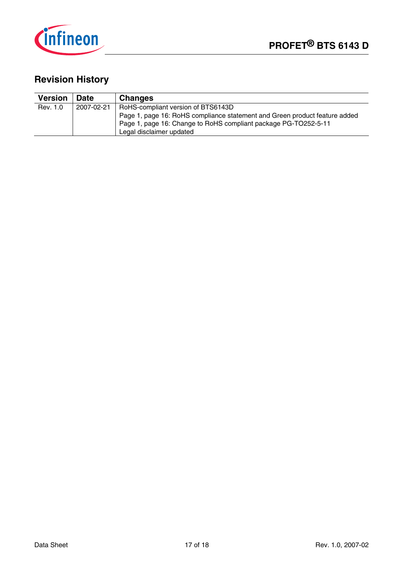

# **Revision History**

| <b>Version</b> | <b>Date</b> | <b>Changes</b>                                                             |
|----------------|-------------|----------------------------------------------------------------------------|
| Rev. 1.0       | 2007-02-21  | RoHS-compliant version of BTS6143D                                         |
|                |             | Page 1, page 16: RoHS compliance statement and Green product feature added |
|                |             | Page 1, page 16: Change to RoHS compliant package PG-TO252-5-11            |
|                |             | Legal disclaimer updated                                                   |